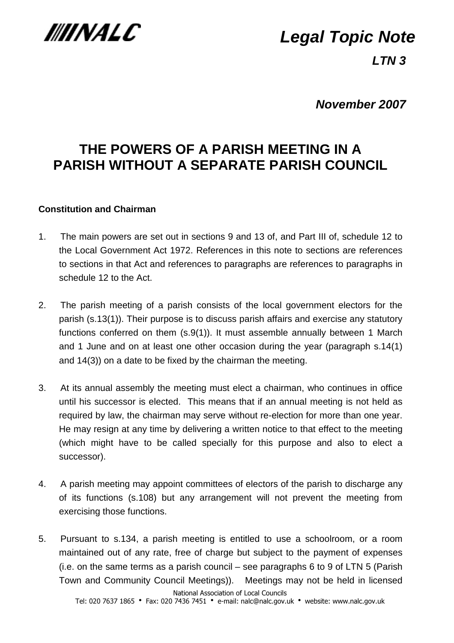

# **Legal Topic Note**

**LTN 3** 

**November 2007** 

## **THE POWERS OF A PARISH MEETING IN A PARISH WITHOUT A SEPARATE PARISH COUNCIL**

## **Constitution and Chairman**

- 1. The main powers are set out in sections 9 and 13 of, and Part III of, schedule 12 to the Local Government Act 1972. References in this note to sections are references to sections in that Act and references to paragraphs are references to paragraphs in schedule 12 to the Act.
- 2. The parish meeting of a parish consists of the local government electors for the parish (s.13(1)). Their purpose is to discuss parish affairs and exercise any statutory functions conferred on them (s.9(1)). It must assemble annually between 1 March and 1 June and on at least one other occasion during the year (paragraph s.14(1) and 14(3)) on a date to be fixed by the chairman the meeting.
- 3. At its annual assembly the meeting must elect a chairman, who continues in office until his successor is elected. This means that if an annual meeting is not held as required by law, the chairman may serve without re-election for more than one year. He may resign at any time by delivering a written notice to that effect to the meeting (which might have to be called specially for this purpose and also to elect a successor).
- 4. A parish meeting may appoint committees of electors of the parish to discharge any of its functions (s.108) but any arrangement will not prevent the meeting from exercising those functions.
- 5. Pursuant to s.134, a parish meeting is entitled to use a schoolroom, or a room maintained out of any rate, free of charge but subject to the payment of expenses (i.e. on the same terms as a parish council – see paragraphs 6 to 9 of LTN 5 (Parish Town and Community Council Meetings)). Meetings may not be held in licensed

National Association of Local Councils

Tel: 020 7637 1865 • Fax: 020 7436 7451 • e-mail: nalc@nalc.gov.uk • website: www.nalc.gov.uk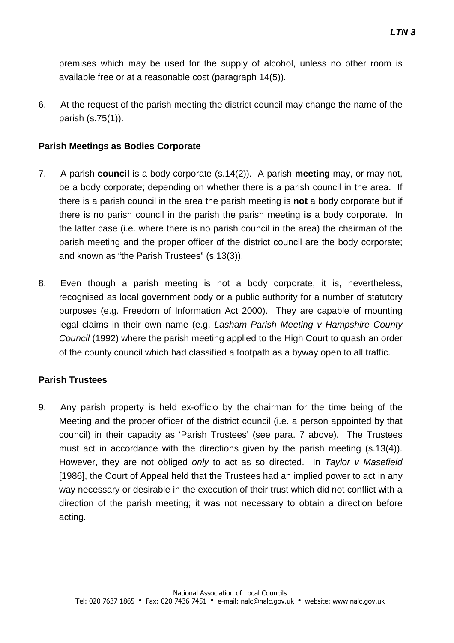premises which may be used for the supply of alcohol, unless no other room is available free or at a reasonable cost (paragraph 14(5)).

6. At the request of the parish meeting the district council may change the name of the parish (s.75(1)).

#### **Parish Meetings as Bodies Corporate**

- 7. A parish **council** is a body corporate (s.14(2)). A parish **meeting** may, or may not, be a body corporate; depending on whether there is a parish council in the area. If there is a parish council in the area the parish meeting is **not** a body corporate but if there is no parish council in the parish the parish meeting **is** a body corporate. In the latter case (i.e. where there is no parish council in the area) the chairman of the parish meeting and the proper officer of the district council are the body corporate; and known as "the Parish Trustees" (s.13(3)).
- 8. Even though a parish meeting is not a body corporate, it is, nevertheless, recognised as local government body or a public authority for a number of statutory purposes (e.g. Freedom of Information Act 2000). They are capable of mounting legal claims in their own name (e.g. Lasham Parish Meeting v Hampshire County Council (1992) where the parish meeting applied to the High Court to quash an order of the county council which had classified a footpath as a byway open to all traffic.

#### **Parish Trustees**

9. Any parish property is held ex-officio by the chairman for the time being of the Meeting and the proper officer of the district council (i.e. a person appointed by that council) in their capacity as 'Parish Trustees' (see para. 7 above). The Trustees must act in accordance with the directions given by the parish meeting (s.13(4)). However, they are not obliged only to act as so directed. In Taylor v Masefield [1986], the Court of Appeal held that the Trustees had an implied power to act in any way necessary or desirable in the execution of their trust which did not conflict with a direction of the parish meeting; it was not necessary to obtain a direction before acting.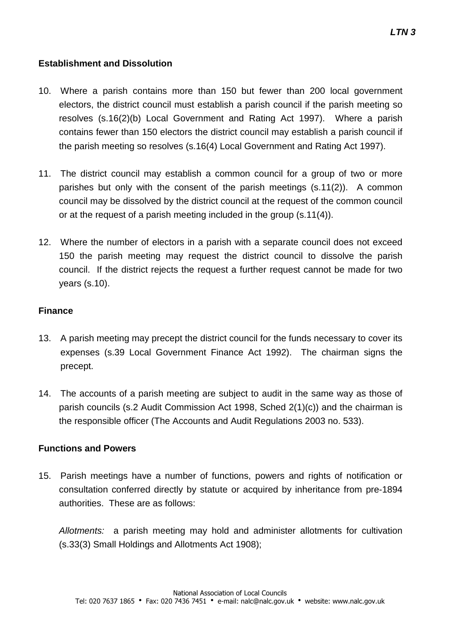#### **Establishment and Dissolution**

- 10. Where a parish contains more than 150 but fewer than 200 local government electors, the district council must establish a parish council if the parish meeting so resolves (s.16(2)(b) Local Government and Rating Act 1997). Where a parish contains fewer than 150 electors the district council may establish a parish council if the parish meeting so resolves (s.16(4) Local Government and Rating Act 1997).
- 11. The district council may establish a common council for a group of two or more parishes but only with the consent of the parish meetings (s.11(2)). A common council may be dissolved by the district council at the request of the common council or at the request of a parish meeting included in the group (s.11(4)).
- 12. Where the number of electors in a parish with a separate council does not exceed 150 the parish meeting may request the district council to dissolve the parish council. If the district rejects the request a further request cannot be made for two years (s.10).

#### **Finance**

- 13. A parish meeting may precept the district council for the funds necessary to cover its expenses (s.39 Local Government Finance Act 1992). The chairman signs the precept.
- 14. The accounts of a parish meeting are subject to audit in the same way as those of parish councils (s.2 Audit Commission Act 1998, Sched 2(1)(c)) and the chairman is the responsible officer (The Accounts and Audit Regulations 2003 no. 533).

### **Functions and Powers**

15. Parish meetings have a number of functions, powers and rights of notification or consultation conferred directly by statute or acquired by inheritance from pre-1894 authorities. These are as follows:

Allotments: a parish meeting may hold and administer allotments for cultivation (s.33(3) Small Holdings and Allotments Act 1908);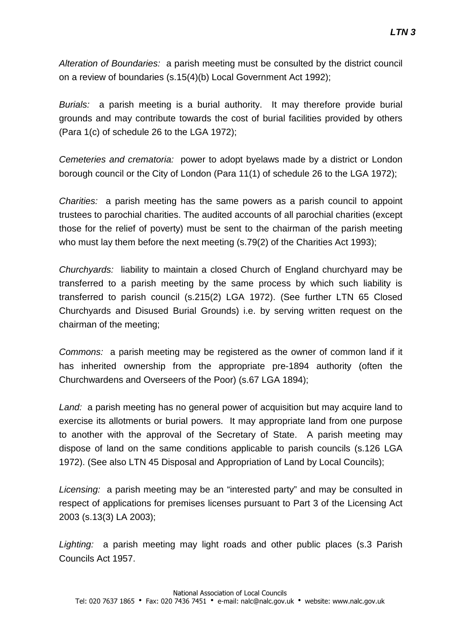Alteration of Boundaries: a parish meeting must be consulted by the district council on a review of boundaries (s.15(4)(b) Local Government Act 1992);

Burials: a parish meeting is a burial authority. It may therefore provide burial grounds and may contribute towards the cost of burial facilities provided by others (Para 1(c) of schedule 26 to the LGA 1972);

Cemeteries and crematoria: power to adopt byelaws made by a district or London borough council or the City of London (Para 11(1) of schedule 26 to the LGA 1972);

Charities: a parish meeting has the same powers as a parish council to appoint trustees to parochial charities. The audited accounts of all parochial charities (except those for the relief of poverty) must be sent to the chairman of the parish meeting who must lay them before the next meeting (s.79(2) of the Charities Act 1993);

Churchyards: liability to maintain a closed Church of England churchyard may be transferred to a parish meeting by the same process by which such liability is transferred to parish council (s.215(2) LGA 1972). (See further LTN 65 Closed Churchyards and Disused Burial Grounds) i.e. by serving written request on the chairman of the meeting;

Commons: a parish meeting may be registered as the owner of common land if it has inherited ownership from the appropriate pre-1894 authority (often the Churchwardens and Overseers of the Poor) (s.67 LGA 1894);

Land: a parish meeting has no general power of acquisition but may acquire land to exercise its allotments or burial powers. It may appropriate land from one purpose to another with the approval of the Secretary of State. A parish meeting may dispose of land on the same conditions applicable to parish councils (s.126 LGA 1972). (See also LTN 45 Disposal and Appropriation of Land by Local Councils);

Licensing: a parish meeting may be an "interested party" and may be consulted in respect of applications for premises licenses pursuant to Part 3 of the Licensing Act 2003 (s.13(3) LA 2003);

Lighting: a parish meeting may light roads and other public places (s.3 Parish Councils Act 1957.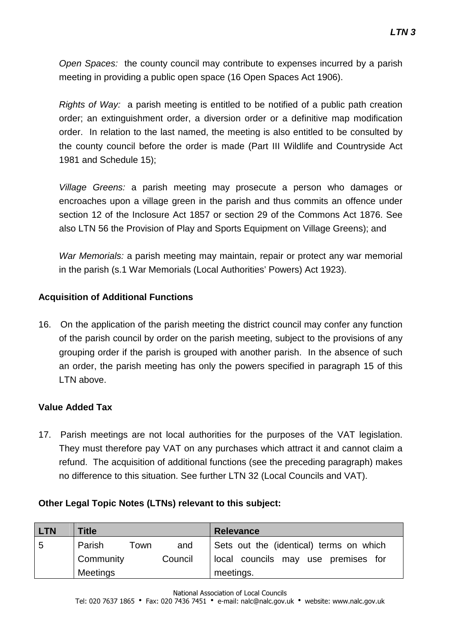Open Spaces: the county council may contribute to expenses incurred by a parish meeting in providing a public open space (16 Open Spaces Act 1906).

Rights of Way: a parish meeting is entitled to be notified of a public path creation order; an extinguishment order, a diversion order or a definitive map modification order. In relation to the last named, the meeting is also entitled to be consulted by the county council before the order is made (Part III Wildlife and Countryside Act 1981 and Schedule 15);

Village Greens: a parish meeting may prosecute a person who damages or encroaches upon a village green in the parish and thus commits an offence under section 12 of the Inclosure Act 1857 or section 29 of the Commons Act 1876. See also LTN 56 the Provision of Play and Sports Equipment on Village Greens); and

War Memorials: a parish meeting may maintain, repair or protect any war memorial in the parish (s.1 War Memorials (Local Authorities' Powers) Act 1923).

## **Acquisition of Additional Functions**

16. On the application of the parish meeting the district council may confer any function of the parish council by order on the parish meeting, subject to the provisions of any grouping order if the parish is grouped with another parish. In the absence of such an order, the parish meeting has only the powers specified in paragraph 15 of this LTN above.

## **Value Added Tax**

17. Parish meetings are not local authorities for the purposes of the VAT legislation. They must therefore pay VAT on any purchases which attract it and cannot claim a refund. The acquisition of additional functions (see the preceding paragraph) makes no difference to this situation. See further LTN 32 (Local Councils and VAT).

#### **Other Legal Topic Notes (LTNs) relevant to this subject:**

| <b>LTN</b> | Title           |      |         | <b>Relevance</b>                        |
|------------|-----------------|------|---------|-----------------------------------------|
| 5          | Parish          | Town | and     | Sets out the (identical) terms on which |
|            | Community       |      | Council | local councils may use premises for     |
|            | <b>Meetings</b> |      |         | meetings.                               |